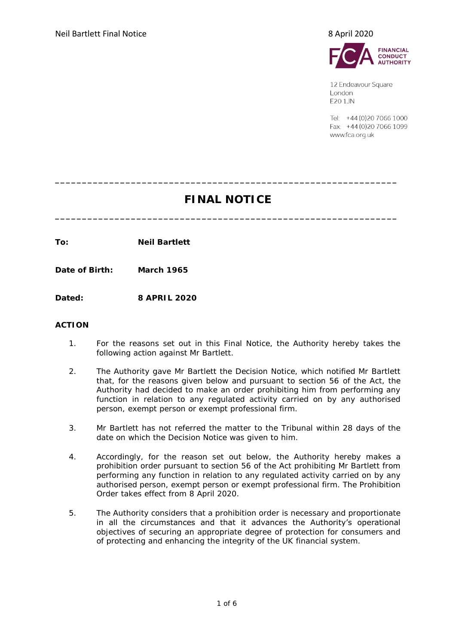

12 Endeavour Square London **E201JN** 

Tel: +44 (0) 20 7066 1000 Fax: +44 (0) 20 7066 1099 www.fca.org.uk

# **FINAL NOTICE**

**\_\_\_\_\_\_\_\_\_\_\_\_\_\_\_\_\_\_\_\_\_\_\_\_\_\_\_\_\_\_\_\_\_\_\_\_\_\_\_\_\_\_\_\_\_\_\_\_\_\_\_\_\_\_\_\_\_\_\_\_\_\_\_**

**\_\_\_\_\_\_\_\_\_\_\_\_\_\_\_\_\_\_\_\_\_\_\_\_\_\_\_\_\_\_\_\_\_\_\_\_\_\_\_\_\_\_\_\_\_\_\_\_\_\_\_\_\_\_\_\_\_\_\_\_\_\_\_**

**To: Neil Bartlett**

**Date of Birth: March 1965**

**Dated: 8 APRIL 2020**

### **ACTION**

- 1. For the reasons set out in this Final Notice, the Authority hereby takes the following action against Mr Bartlett.
- 2. The Authority gave Mr Bartlett the Decision Notice, which notified Mr Bartlett that, for the reasons given below and pursuant to section 56 of the Act, the Authority had decided to make an order prohibiting him from performing any function in relation to any regulated activity carried on by any authorised person, exempt person or exempt professional firm.
- 3. Mr Bartlett has not referred the matter to the Tribunal within 28 days of the date on which the Decision Notice was given to him.
- 4. Accordingly, for the reason set out below, the Authority hereby makes a prohibition order pursuant to section 56 of the Act prohibiting Mr Bartlett from performing any function in relation to any regulated activity carried on by any authorised person, exempt person or exempt professional firm. The Prohibition Order takes effect from 8 April 2020.
- 5. The Authority considers that a prohibition order is necessary and proportionate in all the circumstances and that it advances the Authority's operational objectives of securing an appropriate degree of protection for consumers and of protecting and enhancing the integrity of the UK financial system.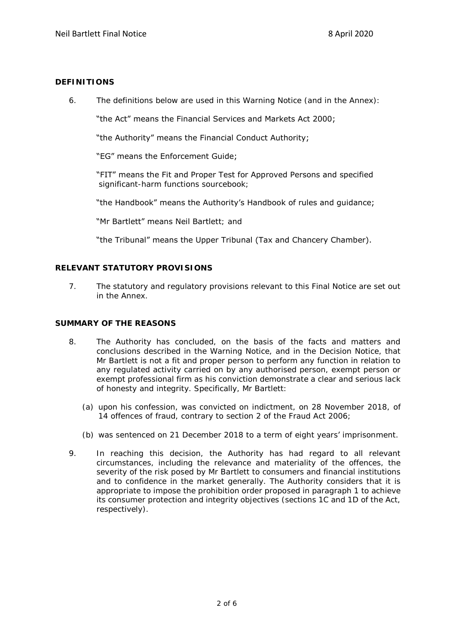# **DEFINITIONS**

6. The definitions below are used in this Warning Notice (and in the Annex):

"the Act" means the Financial Services and Markets Act 2000;

"the Authority" means the Financial Conduct Authority;

"EG" means the Enforcement Guide;

"FIT" means the Fit and Proper Test for Approved Persons and specified significant-harm functions sourcebook;

"the Handbook" means the Authority's Handbook of rules and guidance;

"Mr Bartlett" means Neil Bartlett; and

"the Tribunal" means the Upper Tribunal (Tax and Chancery Chamber).

# **RELEVANT STATUTORY PROVISIONS**

7. The statutory and regulatory provisions relevant to this Final Notice are set out in the Annex.

# **SUMMARY OF THE REASONS**

- 8. The Authority has concluded, on the basis of the facts and matters and conclusions described in the Warning Notice, and in the Decision Notice, that Mr Bartlett is not a fit and proper person to perform any function in relation to any regulated activity carried on by any authorised person, exempt person or exempt professional firm as his conviction demonstrate a clear and serious lack of honesty and integrity. Specifically, Mr Bartlett:
	- (a) upon his confession, was convicted on indictment, on 28 November 2018, of 14 offences of fraud, contrary to section 2 of the Fraud Act 2006;
	- (b) was sentenced on 21 December 2018 to a term of eight years' imprisonment.
- 9. In reaching this decision, the Authority has had regard to all relevant circumstances, including the relevance and materiality of the offences, the severity of the risk posed by Mr Bartlett to consumers and financial institutions and to confidence in the market generally. The Authority considers that it is appropriate to impose the prohibition order proposed in paragraph 1 to achieve its consumer protection and integrity objectives (sections 1C and 1D of the Act, respectively).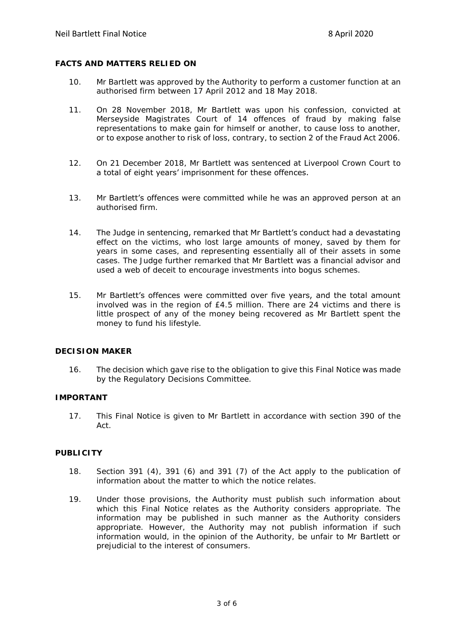# **FACTS AND MATTERS RELIED ON**

- 10. Mr Bartlett was approved by the Authority to perform a customer function at an authorised firm between 17 April 2012 and 18 May 2018.
- 11. On 28 November 2018, Mr Bartlett was upon his confession, convicted at Merseyside Magistrates Court of 14 offences of fraud by making false representations to make gain for himself or another, to cause loss to another, or to expose another to risk of loss, contrary, to section 2 of the Fraud Act 2006.
- 12. On 21 December 2018, Mr Bartlett was sentenced at Liverpool Crown Court to a total of eight years' imprisonment for these offences.
- 13. Mr Bartlett's offences were committed while he was an approved person at an authorised firm.
- 14. The Judge in sentencing, remarked that Mr Bartlett's conduct had a devastating effect on the victims, who lost large amounts of money, saved by them for years in some cases, and representing essentially all of their assets in some cases. The Judge further remarked that Mr Bartlett was a financial advisor and used a web of deceit to encourage investments into bogus schemes.
- 15. Mr Bartlett's offences were committed over five years, and the total amount involved was in the region of £4.5 million. There are 24 victims and there is little prospect of any of the money being recovered as Mr Bartlett spent the money to fund his lifestyle.

#### **DECISION MAKER**

16. The decision which gave rise to the obligation to give this Final Notice was made by the Regulatory Decisions Committee.

#### **IMPORTANT**

17. This Final Notice is given to Mr Bartlett in accordance with section 390 of the Act.

# **PUBLICITY**

- 18. Section 391 (4), 391 (6) and 391 (7) of the Act apply to the publication of information about the matter to which the notice relates.
- 19. Under those provisions, the Authority must publish such information about which this Final Notice relates as the Authority considers appropriate. The information may be published in such manner as the Authority considers appropriate. However, the Authority may not publish information if such information would, in the opinion of the Authority, be unfair to Mr Bartlett or prejudicial to the interest of consumers.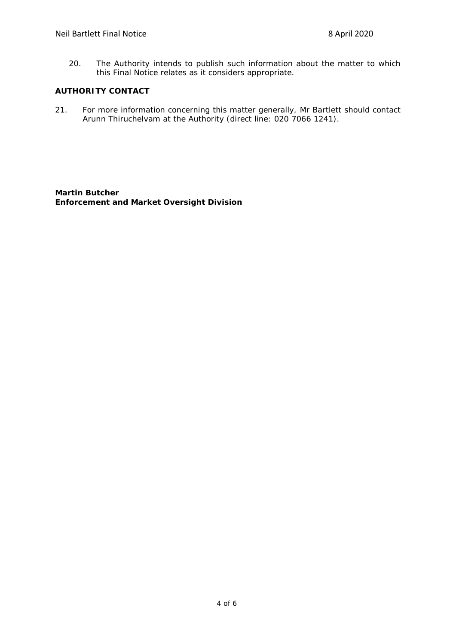20. The Authority intends to publish such information about the matter to which this Final Notice relates as it considers appropriate.

# **AUTHORITY CONTACT**

21. For more information concerning this matter generally, Mr Bartlett should contact Arunn Thiruchelvam at the Authority (direct line: 020 7066 1241).

**Martin Butcher Enforcement and Market Oversight Division**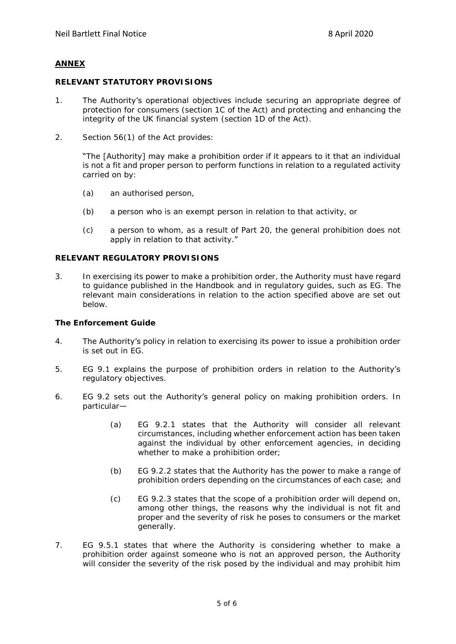### **ANNEX**

#### **RELEVANT STATUTORY PROVISIONS**

- 1. The Authority's operational objectives include securing an appropriate degree of protection for consumers (section 1C of the Act) and protecting and enhancing the integrity of the UK financial system (section 1D of the Act).
- 2. Section 56(1) of the Act provides:

"The [Authority] may make a prohibition order if it appears to it that an individual is not a fit and proper person to perform functions in relation to a regulated activity carried on by:

- (a) an authorised person,
- (b) a person who is an exempt person in relation to that activity, or
- (c) a person to whom, as a result of Part 20, the general prohibition does not apply in relation to that activity."

#### **RELEVANT REGULATORY PROVISIONS**

3. In exercising its power to make a prohibition order, the Authority must have regard to guidance published in the Handbook and in regulatory guides, such as EG. The relevant main considerations in relation to the action specified above are set out below.

**The Enforcement Guide**

- 4. The Authority's policy in relation to exercising its power to issue a prohibition order is set out in EG.
- 5. EG 9.1 explains the purpose of prohibition orders in relation to the Authority's regulatory objectives.
- 6. EG 9.2 sets out the Authority's general policy on making prohibition orders. In particular—
	- (a) EG 9.2.1 states that the Authority will consider all relevant circumstances, including whether enforcement action has been taken against the individual by other enforcement agencies, in deciding whether to make a prohibition order;
	- (b) EG 9.2.2 states that the Authority has the power to make a range of prohibition orders depending on the circumstances of each case; and
	- (c) EG 9.2.3 states that the scope of a prohibition order will depend on, among other things, the reasons why the individual is not fit and proper and the severity of risk he poses to consumers or the market generally.
- 7. EG 9.5.1 states that where the Authority is considering whether to make a prohibition order against someone who is not an approved person, the Authority will consider the severity of the risk posed by the individual and may prohibit him